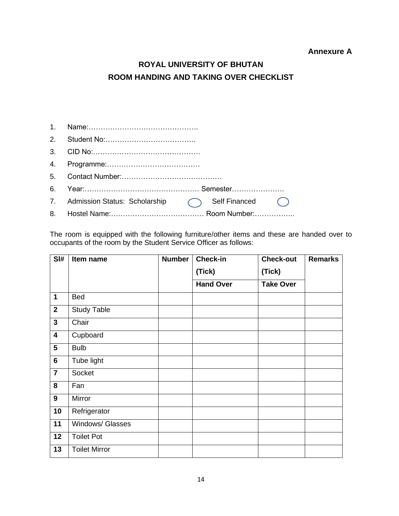## **Annexure A**

## **ROYAL UNIVERSITY OF BHUTAN ROOM HANDING AND TAKING OVER CHECKLIST**

| 7. Admission Status: Scholarship ( ) Self Financed ( ) |
|--------------------------------------------------------|
|                                                        |

The room is equipped with the following furniture/other items and these are handed over to occupants of the room by the Student Service Officer as follows:

| SI#                     | Item name            | <b>Number</b> | <b>Check-in</b><br>(Tick)<br><b>Hand Over</b> | <b>Check-out</b><br>(Tick)<br><b>Take Over</b> | <b>Remarks</b> |
|-------------------------|----------------------|---------------|-----------------------------------------------|------------------------------------------------|----------------|
| $\mathbf 1$             | Bed                  |               |                                               |                                                |                |
| $\overline{2}$          | Study Table          |               |                                               |                                                |                |
| $\overline{\mathbf{3}}$ | Chair                |               |                                               |                                                |                |
| $\overline{\mathbf{4}}$ | Cupboard             |               |                                               |                                                |                |
| 5                       | <b>Bulb</b>          |               |                                               |                                                |                |
| $6\phantom{1}$          | Tube light           |               |                                               |                                                |                |
| $\overline{7}$          | Socket               |               |                                               |                                                |                |
| 8                       | Fan                  |               |                                               |                                                |                |
| $\boldsymbol{9}$        | Mirror               |               |                                               |                                                |                |
| 10                      | Refrigerator         |               |                                               |                                                |                |
| 11                      | Windows/ Glasses     |               |                                               |                                                |                |
| 12                      | <b>Toilet Pot</b>    |               |                                               |                                                |                |
| 13                      | <b>Toilet Mirror</b> |               |                                               |                                                |                |